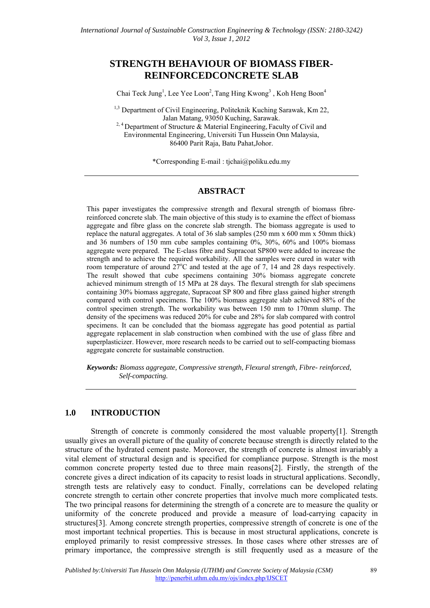# **STRENGTH BEHAVIOUR OF BIOMASS FIBER-REINFORCEDCONCRETE SLAB**

Chai Teck Jung<sup>1</sup>, Lee Yee Loon<sup>2</sup>, Tang Hing Kwong<sup>3</sup>, Koh Heng Boon<sup>4</sup>

<sup>1,3</sup> Department of Civil Engineering, Politeknik Kuching Sarawak, Km 22, Jalan Matang, 93050 Kuching, Sarawak. <sup>2, 4</sup> Department of Structure  $\&$  Material Engineering, Faculty of Civil and Environmental Engineering, Universiti Tun Hussein Onn Malaysia, 86400 Parit Raja, Batu Pahat,Johor.

\*Corresponding E-mail : tjchai@poliku.edu.my

### **ABSTRACT**

This paper investigates the compressive strength and flexural strength of biomass fibrereinforced concrete slab. The main objective of this study is to examine the effect of biomass aggregate and fibre glass on the concrete slab strength. The biomass aggregate is used to replace the natural aggregates. A total of 36 slab samples (250 mm x 600 mm x 50mm thick) and 36 numbers of 150 mm cube samples containing 0%, 30%, 60% and 100% biomass aggregate were prepared. The E-class fibre and Supracoat SP800 were added to increase the strength and to achieve the required workability. All the samples were cured in water with room temperature of around  $27^{\circ}$ C and tested at the age of 7, 14 and 28 days respectively. The result showed that cube specimens containing 30% biomass aggregate concrete achieved minimum strength of 15 MPa at 28 days. The flexural strength for slab specimens containing 30% biomass aggregate, Supracoat SP 800 and fibre glass gained higher strength compared with control specimens. The 100% biomass aggregate slab achieved 88% of the control specimen strength. The workability was between 150 mm to 170mm slump. The density of the specimens was reduced 20% for cube and 28% for slab compared with control specimens. It can be concluded that the biomass aggregate has good potential as partial aggregate replacement in slab construction when combined with the use of glass fibre and superplasticizer. However, more research needs to be carried out to self-compacting biomass aggregate concrete for sustainable construction.

*Keywords: Biomass aggregate, Compressive strength, Flexural strength, Fibre- reinforced, Self-compacting.* 

#### **1.0 INTRODUCTION**

Strength of concrete is commonly considered the most valuable property[1]. Strength usually gives an overall picture of the quality of concrete because strength is directly related to the structure of the hydrated cement paste. Moreover, the strength of concrete is almost invariably a vital element of structural design and is specified for compliance purpose. Strength is the most common concrete property tested due to three main reasons[2]. Firstly, the strength of the concrete gives a direct indication of its capacity to resist loads in structural applications. Secondly, strength tests are relatively easy to conduct. Finally, correlations can be developed relating concrete strength to certain other concrete properties that involve much more complicated tests. The two principal reasons for determining the strength of a concrete are to measure the quality or uniformity of the concrete produced and provide a measure of load-carrying capacity in structures[3]. Among concrete strength properties, compressive strength of concrete is one of the most important technical properties. This is because in most structural applications, concrete is employed primarily to resist compressive stresses. In those cases where other stresses are of primary importance, the compressive strength is still frequently used as a measure of the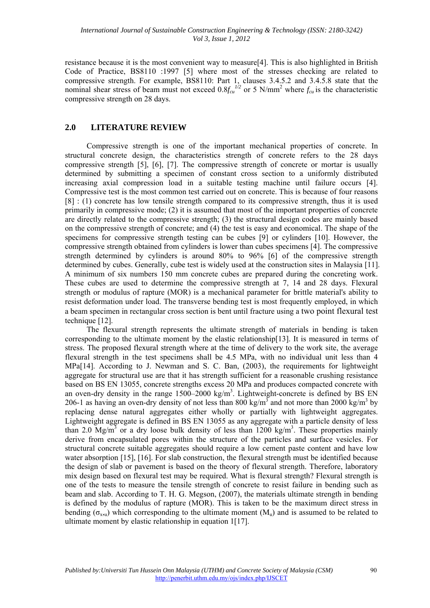resistance because it is the most convenient way to measure[4]. This is also highlighted in British Code of Practice, BS8110 :1997 [5] where most of the stresses checking are related to compressive strength. For example, BS8110: Part 1, clauses 3.4.5.2 and 3.4.5.8 state that the nominal shear stress of beam must not exceed  $0.8f_{cu}^{1/2}$  or 5 N/mm<sup>2</sup> where  $f_{cu}$  is the characteristic compressive strength on 28 days.

### **2.0 LITERATURE REVIEW**

 Compressive strength is one of the important mechanical properties of concrete. In structural concrete design, the characteristics strength of concrete refers to the 28 days compressive strength [5], [6], [7]. The compressive strength of concrete or mortar is usually determined by submitting a specimen of constant cross section to a uniformly distributed increasing axial compression load in a suitable testing machine until failure occurs [4]. Compressive test is the most common test carried out on concrete. This is because of four reasons [8] : (1) concrete has low tensile strength compared to its compressive strength, thus it is used primarily in compressive mode; (2) it is assumed that most of the important properties of concrete are directly related to the compressive strength; (3) the structural design codes are mainly based on the compressive strength of concrete; and (4) the test is easy and economical. The shape of the specimens for compressive strength testing can be cubes [9] or cylinders [10]. However, the compressive strength obtained from cylinders is lower than cubes specimens [4]. The compressive strength determined by cylinders is around 80% to 96% [6] of the compressive strength determined by cubes. Generally, cube test is widely used at the construction sites in Malaysia [11]. A minimum of six numbers 150 mm concrete cubes are prepared during the concreting work. These cubes are used to determine the compressive strength at 7, 14 and 28 days. Flexural strength or modulus of rapture (MOR) is a mechanical parameter for brittle material's ability to resist deformation under load. The transverse bending test is most frequently employed, in which a beam specimen in rectangular cross section is bent until fracture using a two point flexural test technique [12].

 The flexural strength represents the ultimate strength of materials in bending is taken corresponding to the ultimate moment by the elastic relationship[13]. It is measured in terms of stress. The proposed flexural strength where at the time of delivery to the work site, the average flexural strength in the test specimens shall be 4.5 MPa, with no individual unit less than 4 MPa[14]. According to J. Newman and S. C. Ban, (2003), the requirements for lightweight aggregate for structural use are that it has strength sufficient for a reasonable crushing resistance based on BS EN 13055, concrete strengths excess 20 MPa and produces compacted concrete with an oven-dry density in the range  $1500-2000 \text{ kg/m}^3$ . Lightweight-concrete is defined by BS EN 206-1 as having an oven-dry density of not less than 800 kg/m<sup>3</sup> and not more than 2000 kg/m<sup>3</sup> by replacing dense natural aggregates either wholly or partially with lightweight aggregates. Lightweight aggregate is defined in BS EN 13055 as any aggregate with a particle density of less than 2.0  $Mg/m<sup>3</sup>$  or a dry loose bulk density of less than 1200 kg/m<sup>3</sup>. These properties mainly derive from encapsulated pores within the structure of the particles and surface vesicles. For structural concrete suitable aggregates should require a low cement paste content and have low water absorption [15], [16]. For slab construction, the flexural strength must be identified because the design of slab or pavement is based on the theory of flexural strength. Therefore, laboratory mix design based on flexural test may be required. What is flexural strength? Flexural strength is one of the tests to measure the tensile strength of concrete to resist failure in bending such as beam and slab. According to T. H. G. Megson, (2007), the materials ultimate strength in bending is defined by the modulus of rapture (MOR). This is taken to be the maximum direct stress in bending ( $\sigma_{x,u}$ ) which corresponding to the ultimate moment (M<sub>u</sub>) and is assumed to be related to ultimate moment by elastic relationship in equation 1[17].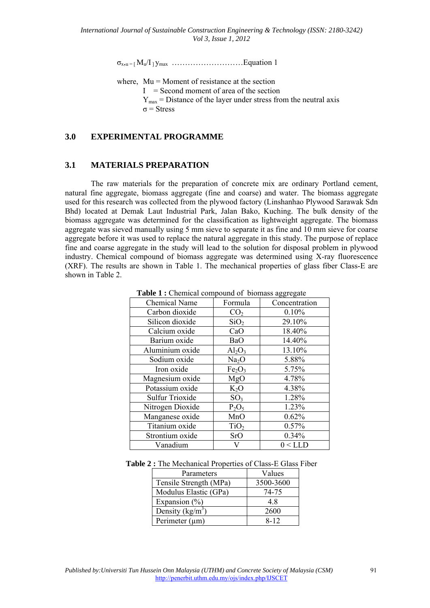$\sigma_{x_2u} = [M_u/I_1V_{max} \dots \dots \dots \dots \dots \dots \dots]$ . Equation 1

where,  $Mu =$  Moment of resistance at the section

 $I =$  Second moment of area of the section

 $Y_{\text{max}}$  = Distance of the layer under stress from the neutral axis

σ = Stress

### **3.0 EXPERIMENTAL PROGRAMME**

### **3.1 MATERIALS PREPARATION**

The raw materials for the preparation of concrete mix are ordinary Portland cement, natural fine aggregate, biomass aggregate (fine and coarse) and water. The biomass aggregate used for this research was collected from the plywood factory (Linshanhao Plywood Sarawak Sdn Bhd) located at Demak Laut Industrial Park, Jalan Bako, Kuching. The bulk density of the biomass aggregate was determined for the classification as lightweight aggregate. The biomass aggregate was sieved manually using 5 mm sieve to separate it as fine and 10 mm sieve for coarse aggregate before it was used to replace the natural aggregate in this study. The purpose of replace fine and coarse aggregate in the study will lead to the solution for disposal problem in plywood industry. Chemical compound of biomass aggregate was determined using X-ray fluorescence (XRF). The results are shown in Table 1. The mechanical properties of glass fiber Class-E are shown in Table 2.

| <b>Chemical Name</b>   | Formula                        | Concentration |  |
|------------------------|--------------------------------|---------------|--|
| Carbon dioxide         | CO <sub>2</sub>                | 0.10%         |  |
| Silicon dioxide        | SiO <sub>2</sub>               | 29.10%        |  |
| Calcium oxide          | CaO                            | 18.40%        |  |
| Barium oxide           | BaO                            | 14.40%        |  |
| Aluminium oxide        | $Al_2O_3$                      | 13.10%        |  |
| Sodium oxide           | Na <sub>2</sub> O              | 5.88%         |  |
| Iron oxide             | Fe <sub>2</sub> O <sub>3</sub> | 5.75%         |  |
| Magnesium oxide        | MgO                            | 4.78%         |  |
| Potassium oxide        | $K_2O$                         | 4.38%         |  |
| <b>Sulfur Trioxide</b> | SO <sub>3</sub>                | 1.28%         |  |
| Nitrogen Dioxide       | $P_2O_5$                       | 1.23%         |  |
| Manganese oxide        | MnO                            | 0.62%         |  |
| Titanium oxide         | TiO <sub>2</sub>               | 0.57%         |  |
| Strontium oxide        | <b>SrO</b>                     | 0.34%         |  |
| Vanadium               | V                              | 0 < LLD       |  |

Table 1 : Chemical compound of biomass aggregate

| Table 2 : The Mechanical Properties of Class-E Glass Fiber |
|------------------------------------------------------------|
|------------------------------------------------------------|

| Parameters             | Values    |
|------------------------|-----------|
| Tensile Strength (MPa) | 3500-3600 |
| Modulus Elastic (GPa)  | 74-75     |
| Expansion $(\% )$      | 4.8       |
| Density $(kg/m^3)$     | 2600      |
| Perimeter $(\mu m)$    | $8 - 12$  |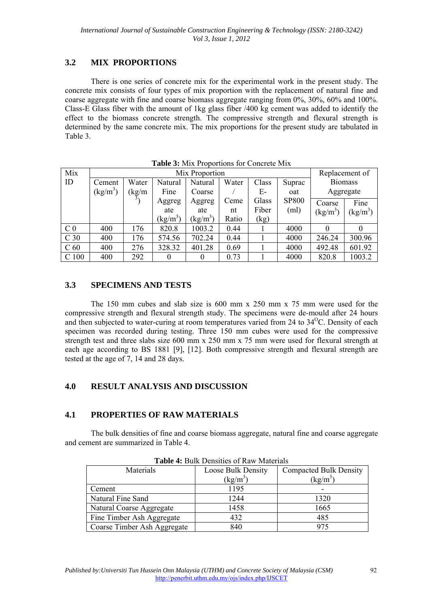# **3.2 MIX PROPORTIONS**

There is one series of concrete mix for the experimental work in the present study. The concrete mix consists of four types of mix proportion with the replacement of natural fine and coarse aggregate with fine and coarse biomass aggregate ranging from 0%, 30%, 60% and 100%. Class-E Glass fiber with the amount of 1kg glass fiber /400 kg cement was added to identify the effect to the biomass concrete strength. The compressive strength and flexural strength is determined by the same concrete mix. The mix proportions for the present study are tabulated in Table 3.

| Mix              | Mix Proportion |       |                   |            |       |       | Replacement of |                |                                |  |
|------------------|----------------|-------|-------------------|------------|-------|-------|----------------|----------------|--------------------------------|--|
| ID               | Cement         | Water | Natural           | Natural    | Water | Class | Suprac         | <b>Biomass</b> |                                |  |
|                  | $(kg/m^3)$     | kg/m  | Fine              | Coarse     |       | Е-    | oat            |                | Aggregate                      |  |
|                  |                |       | Aggreg            | Aggreg     | Ceme  | Glass | <b>SP800</b>   | Coarse         | Fine                           |  |
|                  |                |       | ate               | ate        | nt    | Fiber | (ml)           | $(kg/m^3)$     | $\frac{\text{kg}}{\text{m}^3}$ |  |
|                  |                |       | $(\text{kg/m}^3)$ | $(kg/m^3)$ | Ratio | (kg)  |                |                |                                |  |
| C <sub>0</sub>   | 400            | 176   | 820.8             | 1003.2     | 0.44  |       | 4000           | $\Omega$       |                                |  |
| C <sub>30</sub>  | 400            | 176   | 574.56            | 702.24     | 0.44  |       | 4000           | 246.24         | 300.96                         |  |
| C <sub>60</sub>  | 400            | 276   | 328.32            | 401.28     | 0.69  |       | 4000           | 492.48         | 601.92                         |  |
| C <sub>100</sub> | 400            | 292   | 0                 |            | 0.73  |       | 4000           | 820.8          | 1003.2                         |  |

**Table 3:** Mix Proportions for Concrete Mix

### **3.3 SPECIMENS AND TESTS**

The 150 mm cubes and slab size is 600 mm x 250 mm x 75 mm were used for the compressive strength and flexural strength study. The specimens were de-mould after 24 hours and then subjected to water-curing at room temperatures varied from 24 to 34<sup>o</sup>C. Density of each specimen was recorded during testing. Three 150 mm cubes were used for the compressive strength test and three slabs size 600 mm x 250 mm x 75 mm were used for flexural strength at each age according to BS 1881 [9], [12]. Both compressive strength and flexural strength are tested at the age of 7, 14 and 28 days.

# **4.0 RESULT ANALYSIS AND DISCUSSION**

## **4.1 PROPERTIES OF RAW MATERIALS**

The bulk densities of fine and coarse biomass aggregate, natural fine and coarse aggregate and cement are summarized in Table 4.

| $\sim$ which is posited to the second of the state of the second second the second second second second second second second second second second second second second second second second second second second second second |                    |                               |  |  |  |
|--------------------------------------------------------------------------------------------------------------------------------------------------------------------------------------------------------------------------------|--------------------|-------------------------------|--|--|--|
| Materials                                                                                                                                                                                                                      | Loose Bulk Density | <b>Compacted Bulk Density</b> |  |  |  |
|                                                                                                                                                                                                                                | $(kg/m^3)$         | $(kg/m^3)$                    |  |  |  |
| Cement                                                                                                                                                                                                                         | 1195               |                               |  |  |  |
| Natural Fine Sand                                                                                                                                                                                                              | 1244               | 1320                          |  |  |  |
| Natural Coarse Aggregate                                                                                                                                                                                                       | 1458               | 1665                          |  |  |  |
| Fine Timber Ash Aggregate                                                                                                                                                                                                      | 432                | 485                           |  |  |  |
| Coarse Timber Ash Aggregate                                                                                                                                                                                                    | 840                | 975                           |  |  |  |

**Table 4:** Bulk Densities of Raw Materials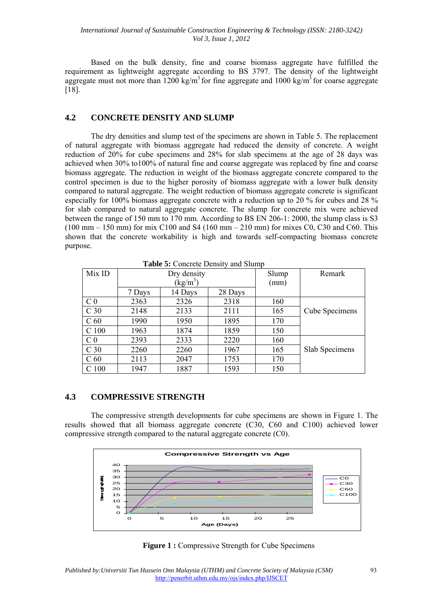Based on the bulk density, fine and coarse biomass aggregate have fulfilled the requirement as lightweight aggregate according to BS 3797. The density of the lightweight aggregate must not more than 1200 kg/m<sup>3</sup> for fine aggregate and 1000 kg/m<sup>3</sup> for coarse aggregate [18].

### **4.2 CONCRETE DENSITY AND SLUMP**

The dry densities and slump test of the specimens are shown in Table 5. The replacement of natural aggregate with biomass aggregate had reduced the density of concrete. A weight reduction of 20% for cube specimens and 28% for slab specimens at the age of 28 days was achieved when 30% to100% of natural fine and coarse aggregate was replaced by fine and coarse biomass aggregate. The reduction in weight of the biomass aggregate concrete compared to the control specimen is due to the higher porosity of biomass aggregate with a lower bulk density compared to natural aggregate. The weight reduction of biomass aggregate concrete is significant especially for 100% biomass aggregate concrete with a reduction up to 20 % for cubes and 28 % for slab compared to natural aggregate concrete. The slump for concrete mix were achieved between the range of 150 mm to 170 mm. According to BS EN 206-1: 2000, the slump class is S3  $(100 \text{ mm} - 150 \text{ mm})$  for mix C100 and S4 (160 mm – 210 mm) for mixes C0, C30 and C60. This shown that the concrete workability is high and towards self-compacting biomass concrete purpose.

| Tuble of Concrete Density and Stands |             |         |         |       |                |  |  |
|--------------------------------------|-------------|---------|---------|-------|----------------|--|--|
| Mix ID                               | Dry density |         |         | Slump | Remark         |  |  |
|                                      | $(kg/m^3)$  |         |         | (mm)  |                |  |  |
|                                      | 7 Days      | 14 Days | 28 Days |       |                |  |  |
| C <sub>0</sub>                       | 2363        | 2326    | 2318    | 160   |                |  |  |
| C <sub>30</sub>                      | 2148        | 2133    | 2111    | 165   | Cube Specimens |  |  |
| C <sub>60</sub>                      | 1990        | 1950    | 1895    | 170   |                |  |  |
| C <sub>100</sub>                     | 1963        | 1874    | 1859    | 150   |                |  |  |
| C <sub>0</sub>                       | 2393        | 2333    | 2220    | 160   |                |  |  |
| C <sub>30</sub>                      | 2260        | 2260    | 1967    | 165   | Slab Specimens |  |  |
| C <sub>60</sub>                      | 2113        | 2047    | 1753    | 170   |                |  |  |
| 100                                  | 1947        | 1887    | 1593    | 150   |                |  |  |

**Table 5:** Concrete Density and Slump

#### **4.3 COMPRESSIVE STRENGTH**

The compressive strength developments for cube specimens are shown in Figure 1. The results showed that all biomass aggregate concrete (C30, C60 and C100) achieved lower compressive strength compared to the natural aggregate concrete (C0).



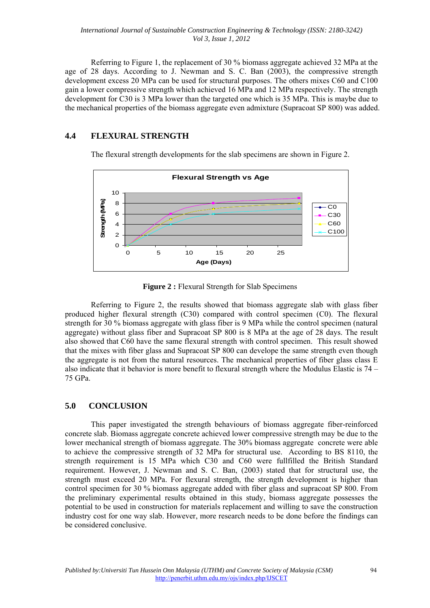Referring to Figure 1, the replacement of 30 % biomass aggregate achieved 32 MPa at the age of 28 days. According to J. Newman and S. C. Ban (2003), the compressive strength development excess 20 MPa can be used for structural purposes. The others mixes C60 and C100 gain a lower compressive strength which achieved 16 MPa and 12 MPa respectively. The strength development for C30 is 3 MPa lower than the targeted one which is 35 MPa. This is maybe due to the mechanical properties of the biomass aggregate even admixture (Supracoat SP 800) was added.

## **4.4 FLEXURAL STRENGTH**

The flexural strength developments for the slab specimens are shown in Figure 2.



**Figure 2 :** Flexural Strength for Slab Specimens

Referring to Figure 2, the results showed that biomass aggregate slab with glass fiber produced higher flexural strength (C30) compared with control specimen (C0). The flexural strength for 30 % biomass aggregate with glass fiber is 9 MPa while the control specimen (natural aggregate) without glass fiber and Supracoat SP 800 is 8 MPa at the age of 28 days. The result also showed that C60 have the same flexural strength with control specimen. This result showed that the mixes with fiber glass and Supracoat SP 800 can develope the same strength even though the aggregate is not from the natural resources. The mechanical properties of fiber glass class E also indicate that it behavior is more benefit to flexural strength where the Modulus Elastic is 74 – 75 GPa.

## **5.0 CONCLUSION**

This paper investigated the strength behaviours of biomass aggregate fiber-reinforced concrete slab. Biomass aggregate concrete achieved lower compressive strength may be due to the lower mechanical strength of biomass aggregate. The 30% biomass aggregate concrete were able to achieve the compressive strength of 32 MPa for structural use. According to BS 8110, the strength requirement is 15 MPa which C30 and C60 were fullfilled the British Standard requirement. However, J. Newman and S. C. Ban, (2003) stated that for structural use, the strength must exceed 20 MPa. For flexural strength, the strength development is higher than control specimen for 30 % biomass aggregate added with fiber glass and supracoat SP 800. From the preliminary experimental results obtained in this study, biomass aggregate possesses the potential to be used in construction for materials replacement and willing to save the construction industry cost for one way slab. However, more research needs to be done before the findings can be considered conclusive.